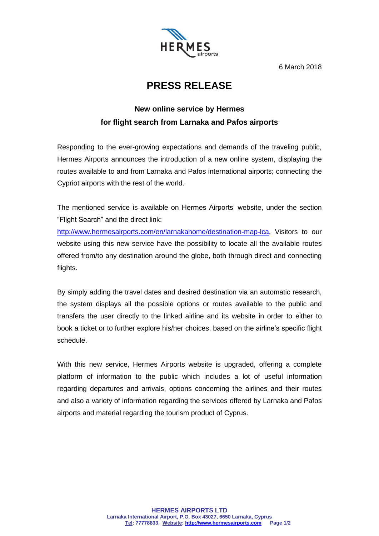

6 March 2018

## **PRESS RELEASE**

## **New online service by Hermes for flight search from Larnaka and Pafos airports**

Responding to the ever-growing expectations and demands of the traveling public, Hermes Airports announces the introduction of a new online system, displaying the routes available to and from Larnaka and Pafos international airports; connecting the Cypriot airports with the rest of the world.

The mentioned service is available on Hermes Airports' website, under the section "Flight Search" and the direct link:

[http://www.hermesairports.com/en/larnakahome/destination-map-lca.](http://www.hermesairports.com/en/larnakahome/destination-map-lca) Visitors to our website using this new service have the possibility to locate all the available routes offered from/to any destination around the globe, both through direct and connecting flights.

By simply adding the travel dates and desired destination via an automatic research, the system displays all the possible options or routes available to the public and transfers the user directly to the linked airline and its website in order to either to book a ticket or to further explore his/her choices, based on the airline's specific flight schedule.

With this new service, Hermes Airports website is upgraded, offering a complete platform of information to the public which includes a lot of useful information regarding departures and arrivals, options concerning the airlines and their routes and also a variety of information regarding the services offered by Larnaka and Pafos airports and material regarding the tourism product of Cyprus.